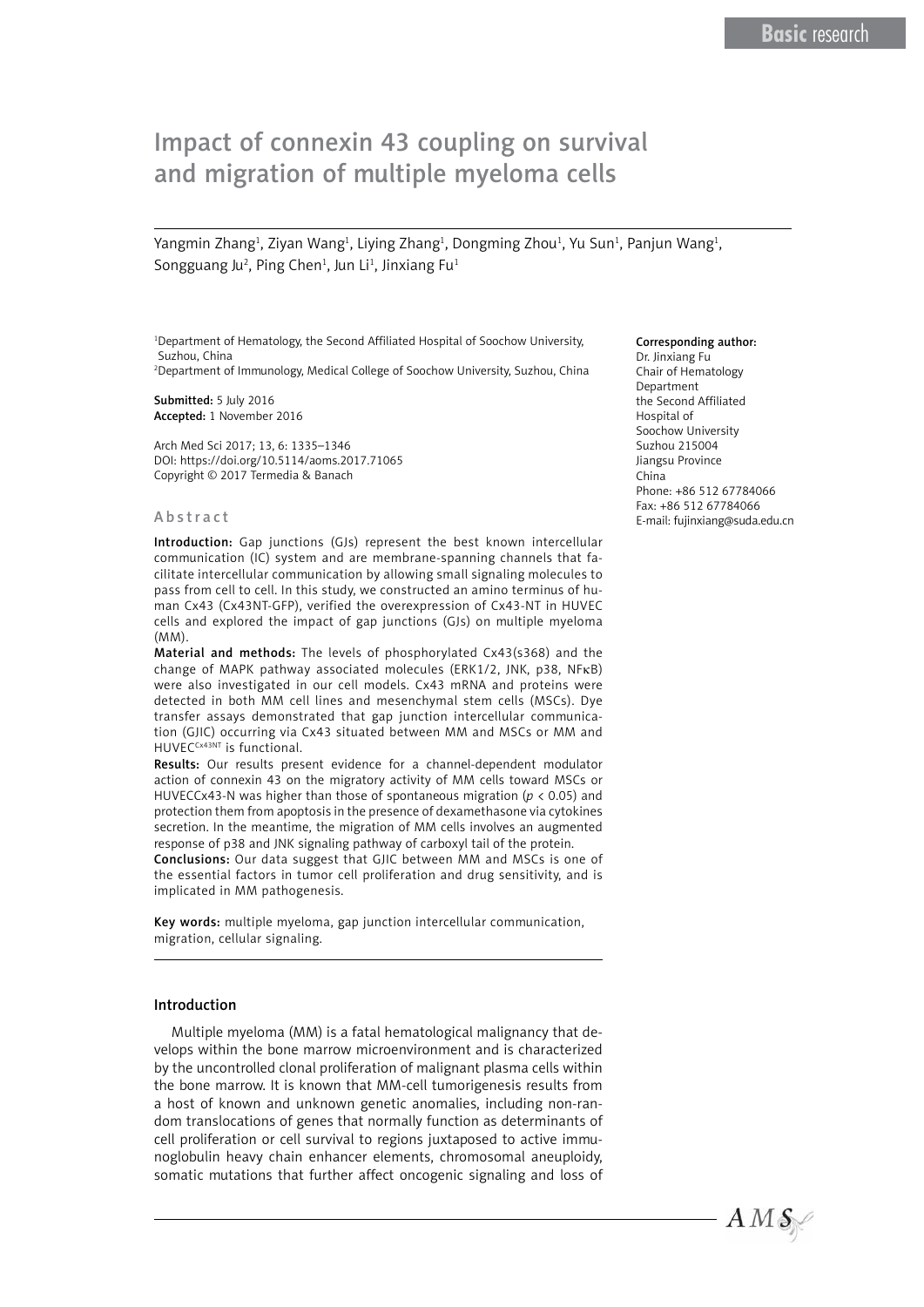# Impact of connexin 43 coupling on survival and migration of multiple myeloma cells

Yangmin Zhang<sup>1</sup>, Ziyan Wang<sup>1</sup>, Liying Zhang<sup>1</sup>, Dongming Zhou<sup>1</sup>, Yu Sun<sup>1</sup>, Panjun Wang<sup>1</sup>, Songguang Ju<sup>2</sup>, Ping Chen<sup>1</sup>, Jun Li<sup>1</sup>, Jinxiang Fu<sup>1</sup>

<sup>1</sup>Department of Hematology, the Second Affiliated Hospital of Soochow University, Suzhou, China

2 Department of Immunology, Medical College of Soochow University, Suzhou, China

Submitted: 5 July 2016 Accepted: 1 November 2016

Arch Med Sci 2017; 13, 6: 1335–1346 DOI: https://doi.org/10.5114/aoms.2017.71065 Copyright © 2017 Termedia & Banach

#### Abstract

Introduction: Gap junctions (GJs) represent the best known intercellular communication (IC) system and are membrane-spanning channels that facilitate intercellular communication by allowing small signaling molecules to pass from cell to cell. In this study, we constructed an amino terminus of human Cx43 (Cx43NT-GFP), verified the overexpression of Cx43-NT in HUVEC cells and explored the impact of gap junctions (GJs) on multiple myeloma (MM).

Material and methods: The levels of phosphorylated Cx43(s368) and the change of MAPK pathway associated molecules (ERK1/2, JNK, p38, NFκB) were also investigated in our cell models. Cx43 mRNA and proteins were detected in both MM cell lines and mesenchymal stem cells (MSCs). Dye transfer assays demonstrated that gap junction intercellular communication (GJIC) occurring via Cx43 situated between MM and MSCs or MM and HUVECCx43NT is functional.

Results: Our results present evidence for a channel-dependent modulator action of connexin 43 on the migratory activity of MM cells toward MSCs or HUVECCx43-N was higher than those of spontaneous migration (*p* < 0.05) and protection them from apoptosis in the presence of dexamethasone via cytokines secretion. In the meantime, the migration of MM cells involves an augmented response of p38 and JNK signaling pathway of carboxyl tail of the protein.

Conclusions: Our data suggest that GJIC between MM and MSCs is one of the essential factors in tumor cell proliferation and drug sensitivity, and is implicated in MM pathogenesis.

Key words: multiple myeloma, gap junction intercellular communication, migration, cellular signaling.

#### Introduction

Multiple myeloma (MM) is a fatal hematological malignancy that develops within the bone marrow microenvironment and is characterized by the uncontrolled clonal proliferation of malignant plasma cells within the bone marrow. It is known that MM-cell tumorigenesis results from a host of known and unknown genetic anomalies, including non-random translocations of genes that normally function as determinants of cell proliferation or cell survival to regions juxtaposed to active immunoglobulin heavy chain enhancer elements, chromosomal aneuploidy, somatic mutations that further affect oncogenic signaling and loss of

#### Corresponding author:

Dr. Jinxiang Fu Chair of Hematology Department the Second Affiliated Hospital of Soochow University Suzhou 215004 Jiangsu Province China Phone: +86 512 67784066 Fax: +86 512 67784066 E-mail: fujinxiang@suda.edu.cn

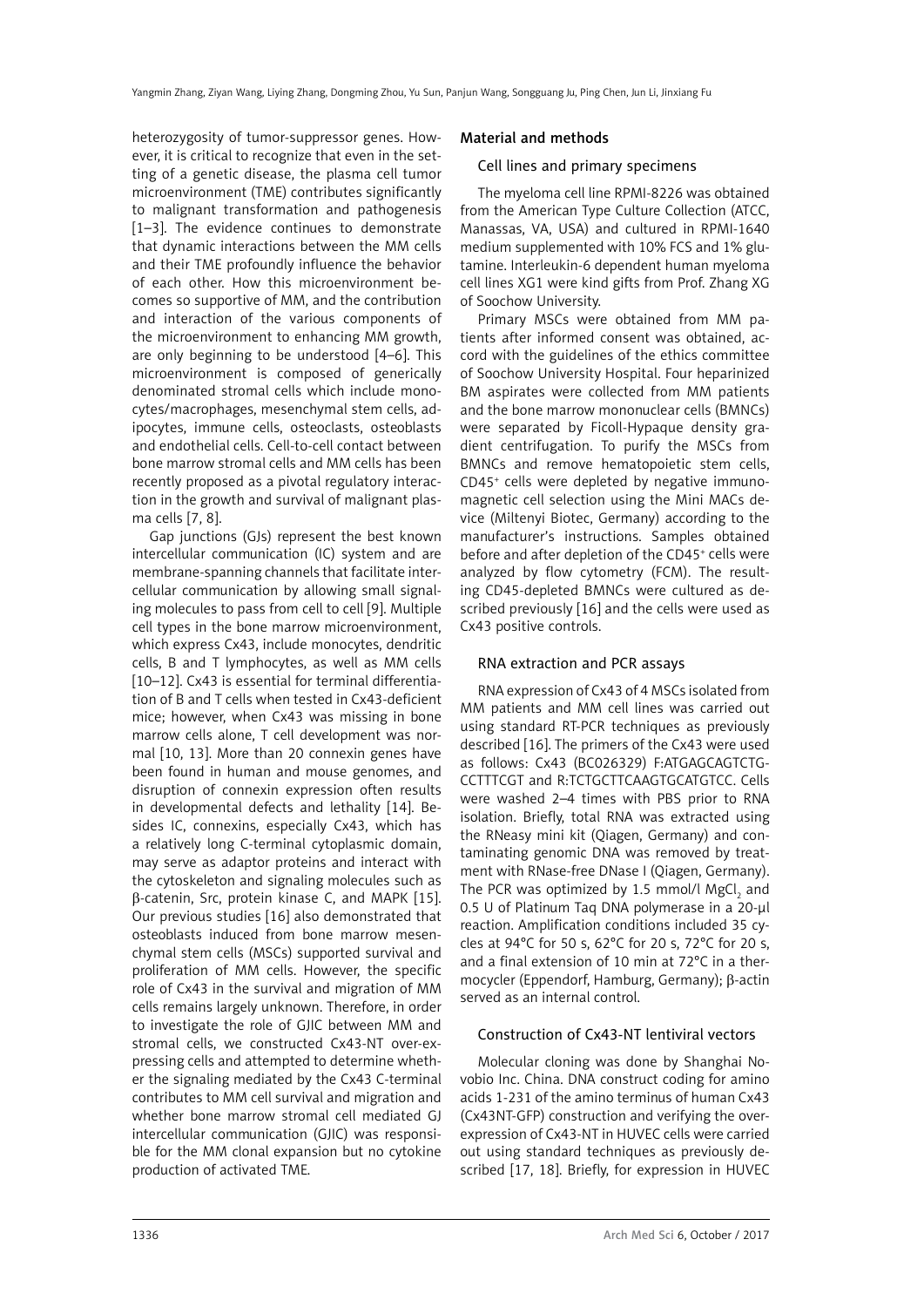heterozygosity of tumor-suppressor genes. However, it is critical to recognize that even in the setting of a genetic disease, the plasma cell tumor microenvironment (TME) contributes significantly to malignant transformation and pathogenesis [1–3]. The evidence continues to demonstrate that dynamic interactions between the MM cells and their TME profoundly influence the behavior of each other. How this microenvironment becomes so supportive of MM, and the contribution and interaction of the various components of the microenvironment to enhancing MM growth, are only beginning to be understood [4–6]. This microenvironment is composed of generically denominated stromal cells which include monocytes/macrophages, mesenchymal stem cells, adipocytes, immune cells, osteoclasts, osteoblasts and endothelial cells. Cell-to-cell contact between bone marrow stromal cells and MM cells has been recently proposed as a pivotal regulatory interaction in the growth and survival of malignant plasma cells [7, 8].

Gap junctions (GJs) represent the best known intercellular communication (IC) system and are membrane-spanning channels that facilitate intercellular communication by allowing small signaling molecules to pass from cell to cell [9]. Multiple cell types in the bone marrow microenvironment, which express Cx43, include monocytes, dendritic cells, B and T lymphocytes, as well as MM cells [10–12]. Cx43 is essential for terminal differentiation of B and T cells when tested in Cx43-deficient mice; however, when Cx43 was missing in bone marrow cells alone, T cell development was normal [10, 13]. More than 20 connexin genes have been found in human and mouse genomes, and disruption of connexin expression often results in developmental defects and lethality [14]. Besides IC, connexins, especially Cx43, which has a relatively long C-terminal cytoplasmic domain, may serve as adaptor proteins and interact with the cytoskeleton and signaling molecules such as β-catenin, Src, protein kinase C, and MAPK [15]. Our previous studies [16] also demonstrated that osteoblasts induced from bone marrow mesenchymal stem cells (MSCs) supported survival and proliferation of MM cells. However, the specific role of Cx43 in the survival and migration of MM cells remains largely unknown. Therefore, in order to investigate the role of GJIC between MM and stromal cells, we constructed Cx43-NT over-expressing cells and attempted to determine whether the signaling mediated by the Cx43 C-terminal contributes to MM cell survival and migration and whether bone marrow stromal cell mediated GJ intercellular communication (GJIC) was responsible for the MM clonal expansion but no cytokine production of activated TME.

## Material and methods

#### Cell lines and primary specimens

The myeloma cell line RPMI-8226 was obtained from the American Type Culture Collection (ATCC, Manassas, VA, USA) and cultured in RPMI-1640 medium supplemented with 10% FCS and 1% glutamine. Interleukin-6 dependent human myeloma cell lines XG1 were kind gifts from Prof. Zhang XG of Soochow University.

Primary MSCs were obtained from MM patients after informed consent was obtained, accord with the guidelines of the ethics committee of Soochow University Hospital. Four heparinized BM aspirates were collected from MM patients and the bone marrow mononuclear cells (BMNCs) were separated by Ficoll-Hypaque density gradient centrifugation. To purify the MSCs from BMNCs and remove hematopoietic stem cells, CD45+ cells were depleted by negative immunomagnetic cell selection using the Mini MACs device (Miltenyi Biotec, Germany) according to the manufacturer's instructions. Samples obtained before and after depletion of the CD45+ cells were analyzed by flow cytometry (FCM). The resulting CD45-depleted BMNCs were cultured as described previously [16] and the cells were used as Cx43 positive controls.

#### RNA extraction and PCR assays

RNA expression of Cx43 of 4 MSCs isolated from MM patients and MM cell lines was carried out using standard RT-PCR techniques as previously described [16]. The primers of the Cx43 were used as follows: Cx43 (BC026329) F:ATGAGCAGTCTG-CCTTTCGT and R:TCTGCTTCAAGTGCATGTCC. Cells were washed 2–4 times with PBS prior to RNA isolation. Briefly, total RNA was extracted using the RNeasy mini kit (Qiagen, Germany) and contaminating genomic DNA was removed by treatment with RNase-free DNase I (Qiagen, Germany). The PCR was optimized by 1.5 mmol/l MgCl<sub>2</sub> and 0.5 U of Platinum Taq DNA polymerase in a 20-μl reaction. Amplification conditions included 35 cycles at 94°C for 50 s, 62°C for 20 s, 72°C for 20 s, and a final extension of 10 min at 72°C in a thermocycler (Eppendorf, Hamburg, Germany); β-actin served as an internal control.

## Construction of Cx43-NT lentiviral vectors

Molecular cloning was done by Shanghai Novobio Inc. China. DNA construct coding for amino acids 1-231 of the amino terminus of human Cx43 (Cx43NT-GFP) construction and verifying the overexpression of Cx43-NT in HUVEC cells were carried out using standard techniques as previously described [17, 18]. Briefly, for expression in HUVEC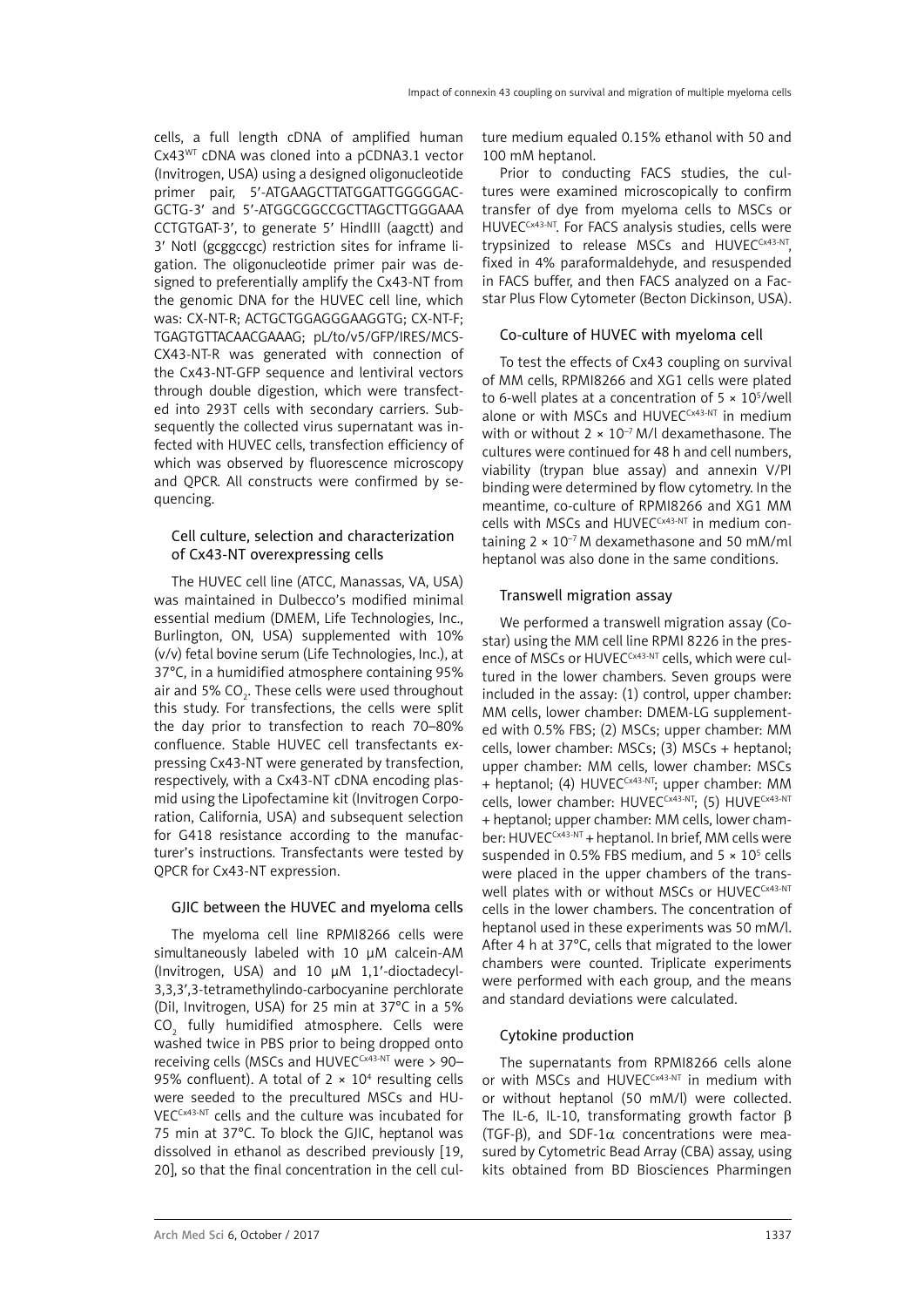cells, a full length cDNA of amplified human Cx43WT cDNA was cloned into a pCDNA3.1 vector (Invitrogen, USA) using a designed oligonucleotide primer pair, 5′-ATGAAGCTTATGGATTGGGGGAC-GCTG-3′ and 5′-ATGGCGGCCGCTTAGCTTGGGAAA CCTGTGAT-3′, to generate 5′ HindIII (aagctt) and 3′ NotI (gcggccgc) restriction sites for inframe ligation. The oligonucleotide primer pair was designed to preferentially amplify the Cx43-NT from the genomic DNA for the HUVEC cell line, which was: CX-NT-R; ACTGCTGGAGGGAAGGTG; CX-NT-F; TGAGTGTTACAACGAAAG; pL/to/v5/GFP/IRES/MCS-CX43-NT-R was generated with connection of the Cx43-NT-GFP sequence and lentiviral vectors through double digestion, which were transfected into 293T cells with secondary carriers. Subsequently the collected virus supernatant was infected with HUVEC cells, transfection efficiency of which was observed by fluorescence microscopy and QPCR. All constructs were confirmed by sequencing.

# Cell culture, selection and characterization of Cx43-NT overexpressing cells

The HUVEC cell line (ATCC, Manassas, VA, USA) was maintained in Dulbecco's modified minimal essential medium (DMEM, Life Technologies, Inc., Burlington, ON, USA) supplemented with 10% (v/v) fetal bovine serum (Life Technologies, Inc.), at 37°C, in a humidified atmosphere containing 95% air and 5% CO<sub>2</sub>. These cells were used throughout this study. For transfections, the cells were split the day prior to transfection to reach 70–80% confluence. Stable HUVEC cell transfectants expressing Cx43-NT were generated by transfection, respectively, with a Cx43-NT cDNA encoding plasmid using the Lipofectamine kit (Invitrogen Corporation, California, USA) and subsequent selection for G418 resistance according to the manufacturer's instructions. Transfectants were tested by QPCR for Cx43-NT expression.

# GJIC between the HUVEC and myeloma cells

The myeloma cell line RPMI8266 cells were simultaneously labeled with 10 μM calcein-AM (Invitrogen, USA) and 10 μM 1,1′-dioctadecyl-3,3,3′,3-tetramethylindo-carbocyanine perchlorate (DiI, Invitrogen, USA) for 25 min at 37°C in a 5%  $\overline{\text{CO}}_2$  fully humidified atmosphere. Cells were washed twice in PBS prior to being dropped onto receiving cells (MSCs and HUVECCX43-NT were > 90-95% confluent). A total of  $2 \times 10^4$  resulting cells were seeded to the precultured MSCs and HU-VECCx43-NT cells and the culture was incubated for 75 min at 37°C. To block the GJIC, heptanol was dissolved in ethanol as described previously [19, 20], so that the final concentration in the cell culture medium equaled 0.15% ethanol with 50 and 100 mM heptanol.

Prior to conducting FACS studies, the cultures were examined microscopically to confirm transfer of dye from myeloma cells to MSCs or HUVECCx43-NT. For FACS analysis studies, cells were trypsinized to release MSCs and HUVECCx43-NT. fixed in 4% paraformaldehyde, and resuspended in FACS buffer, and then FACS analyzed on a Facstar Plus Flow Cytometer (Becton Dickinson, USA).

## Co-culture of HUVEC with myeloma cell

To test the effects of Cx43 coupling on survival of MM cells, RPMI8266 and XG1 cells were plated to 6-well plates at a concentration of  $5 \times 10^5$ /well alone or with MSCs and HUVEC<sup>CX43-NT</sup> in medium with or without  $2 \times 10^{-7}$  M/l dexamethasone. The cultures were continued for 48 h and cell numbers, viability (trypan blue assay) and annexin V/PI binding were determined by flow cytometry. In the meantime, co-culture of RPMI8266 and XG1 MM cells with MSCs and HUVEC<sup>CX43-NT</sup> in medium containing  $2 \times 10^{-7}$  M dexamethasone and 50 mM/ml heptanol was also done in the same conditions.

#### Transwell migration assay

We performed a transwell migration assay (Costar) using the MM cell line RPMI 8226 in the presence of MSCs or HUVEC<sup>CX43-NT</sup> cells, which were cultured in the lower chambers. Seven groups were included in the assay: (1) control, upper chamber: MM cells, lower chamber: DMEM-LG supplemented with 0.5% FBS; (2) MSCs; upper chamber: MM cells, lower chamber: MSCs; (3) MSCs + heptanol; upper chamber: MM cells, lower chamber: MSCs + heptanol; (4) HUVEC<sup>Cx43-NT</sup>; upper chamber: MM cells, lower chamber: HUVEC<sup>CX43-NT</sup>; (5) HUVE<sup>CX43-NT</sup> + heptanol; upper chamber: MM cells, lower chamber: HUVEC<sup>Cx43-NT</sup> + heptanol. In brief, MM cells were suspended in 0.5% FBS medium, and  $5 \times 10^5$  cells were placed in the upper chambers of the transwell plates with or without MSCs or HUVECCX43-NT cells in the lower chambers. The concentration of heptanol used in these experiments was 50 mM/l. After 4 h at 37°C, cells that migrated to the lower chambers were counted. Triplicate experiments were performed with each group, and the means and standard deviations were calculated.

#### Cytokine production

The supernatants from RPMI8266 cells alone or with MSCs and HUVECCx43-NT in medium with or without heptanol (50 mM/l) were collected. The IL-6, IL-10, transformating growth factor β (TGF- $\beta$ ), and SDF-1 $\alpha$  concentrations were measured by Cytometric Bead Array (CBA) assay, using kits obtained from BD Biosciences Pharmingen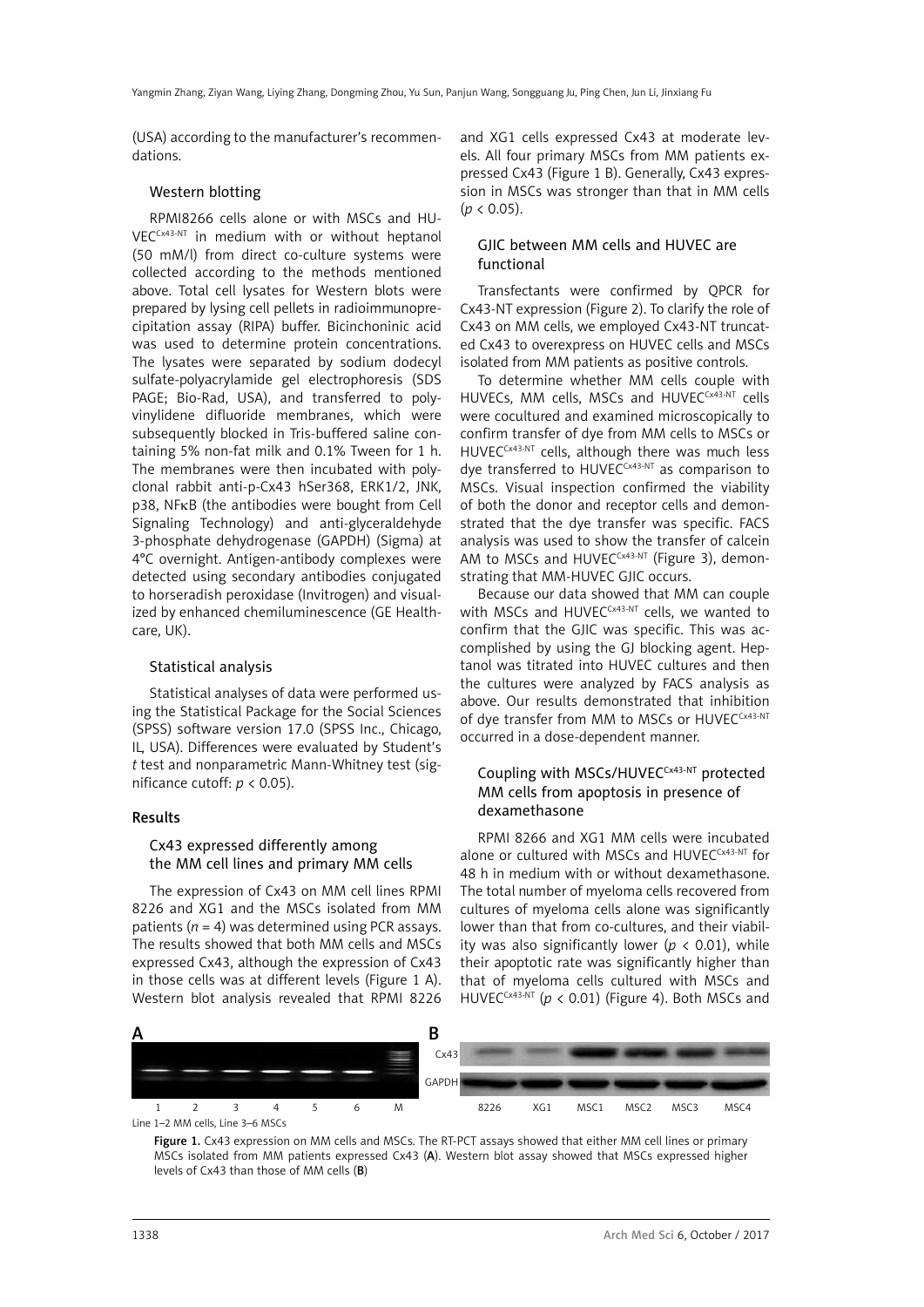(USA) according to the manufacturer's recommendations.

## Western blotting

RPMI8266 cells alone or with MSCs and HU-VECCx43-NT in medium with or without heptanol (50 mM/l) from direct co-culture systems were collected according to the methods mentioned above. Total cell lysates for Western blots were prepared by lysing cell pellets in radioimmunoprecipitation assay (RIPA) buffer. Bicinchoninic acid was used to determine protein concentrations. The lysates were separated by sodium dodecyl sulfate-polyacrylamide gel electrophoresis (SDS PAGE; Bio-Rad, USA), and transferred to polyvinylidene difluoride membranes, which were subsequently blocked in Tris-buffered saline containing 5% non-fat milk and 0.1% Tween for 1 h. The membranes were then incubated with polyclonal rabbit anti-p-Cx43 hSer368, ERK1/2, JNK, p38, NFκB (the antibodies were bought from Cell Signaling Technology) and anti-glyceraldehyde 3-phosphate dehydrogenase (GAPDH) (Sigma) at 4°C overnight. Antigen-antibody complexes were detected using secondary antibodies conjugated to horseradish peroxidase (Invitrogen) and visualized by enhanced chemiluminescence (GE Healthcare, UK).

# Statistical analysis

Statistical analyses of data were performed using the Statistical Package for the Social Sciences (SPSS) software version 17.0 (SPSS Inc., Chicago, IL, USA). Differences were evaluated by Student's *t* test and nonparametric Mann-Whitney test (significance cutoff:  $p < 0.05$ ).

#### Results

# Cx43 expressed differently among the MM cell lines and primary MM cells

The expression of Cx43 on MM cell lines RPMI 8226 and XG1 and the MSCs isolated from MM patients  $(n = 4)$  was determined using PCR assays. The results showed that both MM cells and MSCs expressed Cx43, although the expression of Cx43 in those cells was at different levels (Figure 1 A). Western blot analysis revealed that RPMI 8226 and XG1 cells expressed Cx43 at moderate levels. All four primary MSCs from MM patients expressed Cx43 (Figure 1 B). Generally, Cx43 expression in MSCs was stronger than that in MM cells  $(p < 0.05)$ .

# GJIC between MM cells and HUVEC are functional

Transfectants were confirmed by QPCR for Cx43-NT expression (Figure 2). To clarify the role of Cx43 on MM cells, we employed Cx43-NT truncated Cx43 to overexpress on HUVEC cells and MSCs isolated from MM patients as positive controls.

To determine whether MM cells couple with HUVECs, MM cells, MSCs and HUVECCX43-NT cells were cocultured and examined microscopically to confirm transfer of dye from MM cells to MSCs or HUVEC<sup>CX43-NT</sup> cells, although there was much less dye transferred to HUVECCx43-NT as comparison to MSCs. Visual inspection confirmed the viability of both the donor and receptor cells and demonstrated that the dye transfer was specific. FACS analysis was used to show the transfer of calcein AM to MSCs and HUVEC $C<sub>X43-NT</sub>$  (Figure 3), demonstrating that MM-HUVEC GJIC occurs.

Because our data showed that MM can couple with MSCs and HUVEC<sup>Cx43-NT</sup> cells, we wanted to confirm that the GJIC was specific. This was accomplished by using the GJ blocking agent. Heptanol was titrated into HUVEC cultures and then the cultures were analyzed by FACS analysis as above. Our results demonstrated that inhibition of dye transfer from MM to MSCs or HUVECCX43-NT occurred in a dose-dependent manner.

# Coupling with MSCs/HUVECCx43-NT protected MM cells from apoptosis in presence of dexamethasone

RPMI 8266 and XG1 MM cells were incubated alone or cultured with MSCs and HUVECCX43-NT for 48 h in medium with or without dexamethasone. The total number of myeloma cells recovered from cultures of myeloma cells alone was significantly lower than that from co-cultures, and their viability was also significantly lower (*p* < 0.01), while their apoptotic rate was significantly higher than that of myeloma cells cultured with MSCs and HUVEC<sup>Cx43-NT</sup> ( $p < 0.01$ ) (Figure 4). Both MSCs and



Line 1–2 MM cells, Line 3–6 MSCs

Figure 1. Cx43 expression on MM cells and MSCs. The RT-PCT assays showed that either MM cell lines or primary MSCs isolated from MM patients expressed Cx43 (A). Western blot assay showed that MSCs expressed higher levels of Cx43 than those of MM cells (B)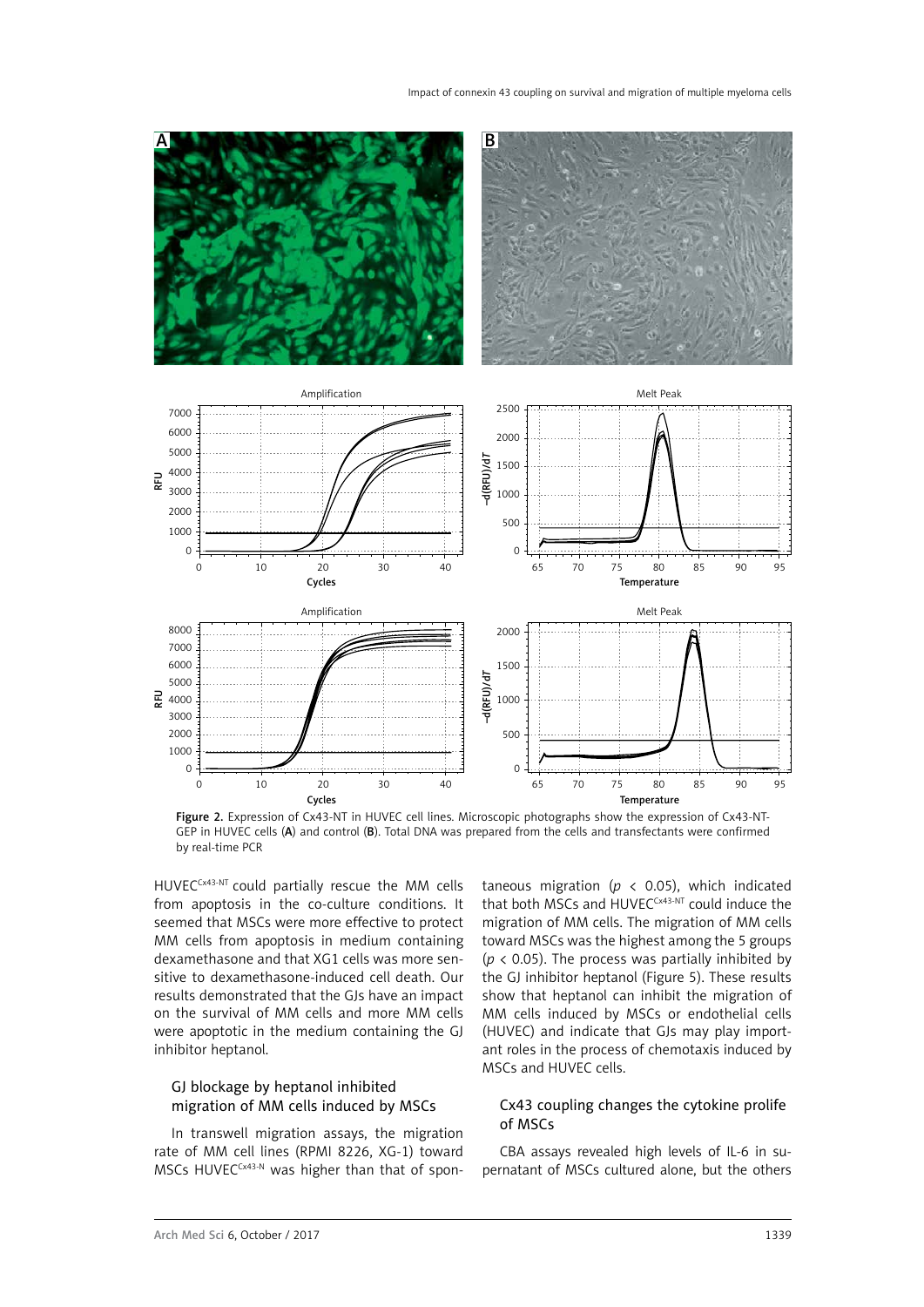

Figure 2. Expression of Cx43-NT in HUVEC cell lines. Microscopic photographs show the expression of Cx43-NT-GEP in HUVEC cells (A) and control (B). Total DNA was prepared from the cells and transfectants were confirmed by real-time PCR

HUVEC<sup>Cx43-NT</sup> could partially rescue the MM cells from apoptosis in the co-culture conditions. It seemed that MSCs were more effective to protect MM cells from apoptosis in medium containing dexamethasone and that XG1 cells was more sensitive to dexamethasone-induced cell death. Our results demonstrated that the GJs have an impact on the survival of MM cells and more MM cells were apoptotic in the medium containing the GJ inhibitor heptanol.

# GJ blockage by heptanol inhibited migration of MM cells induced by MSCs

In transwell migration assays, the migration rate of MM cell lines (RPMI 8226, XG-1) toward MSCs HUVEC<sup>Cx43-N</sup> was higher than that of spontaneous migration ( $p \lt 0.05$ ), which indicated that both MSCs and HUVECCX43-NT could induce the migration of MM cells. The migration of MM cells toward MSCs was the highest among the 5 groups (*p* < 0.05). The process was partially inhibited by the GJ inhibitor heptanol (Figure 5). These results show that heptanol can inhibit the migration of MM cells induced by MSCs or endothelial cells (HUVEC) and indicate that GJs may play important roles in the process of chemotaxis induced by MSCs and HUVEC cells.

# Cx43 coupling changes the cytokine prolife of MSCs

CBA assays revealed high levels of IL-6 in supernatant of MSCs cultured alone, but the others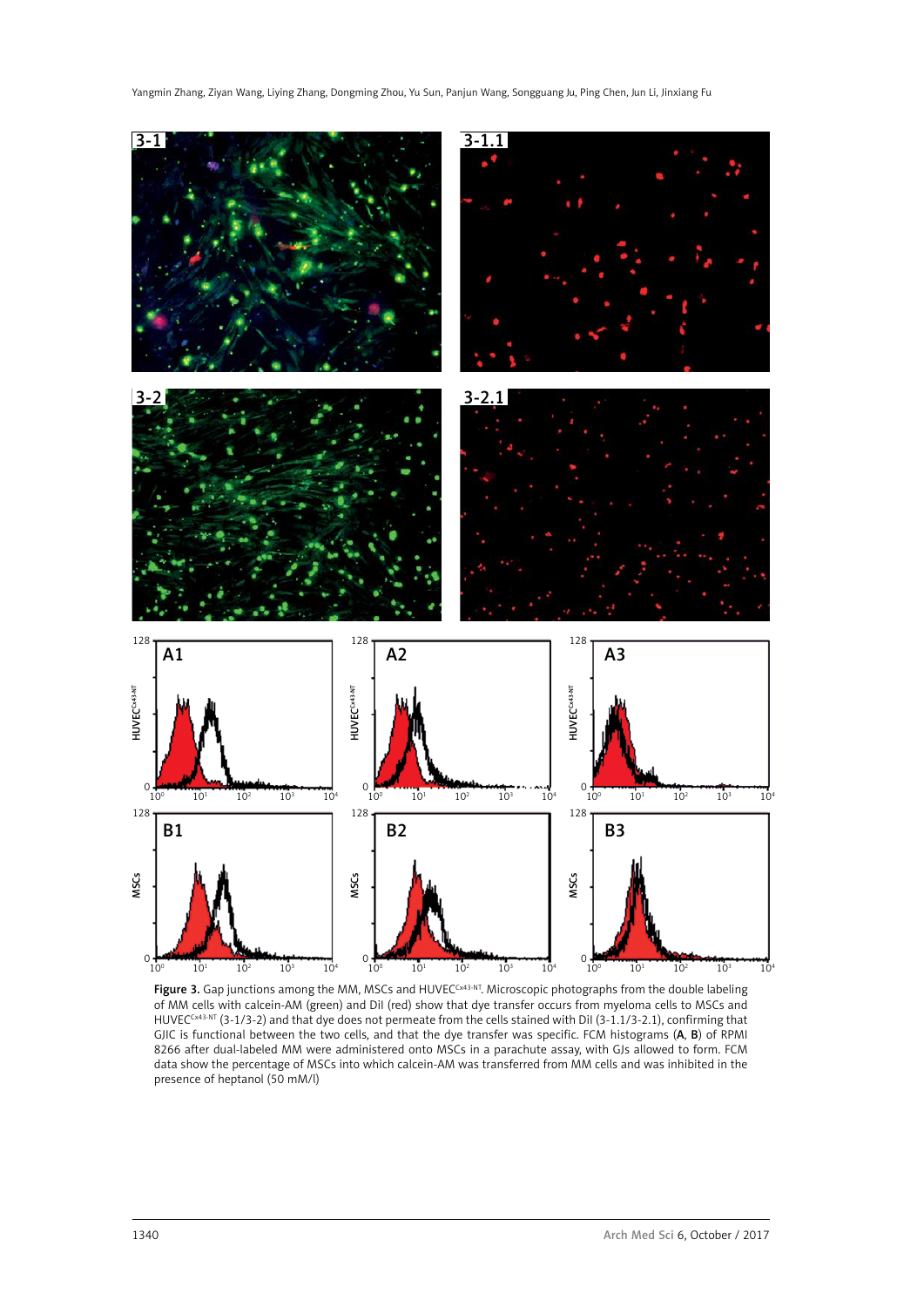

**Figure 3.** Gap junctions among the MM, MSCs and HUVEC $^{CxA3-NT}$ . Microscopic photographs from the double labeling of MM cells with calcein-AM (green) and DiI (red) show that dye transfer occurs from myeloma cells to MSCs and HUVECCx43-NT (3-1/3-2) and that dye does not permeate from the cells stained with DiI (3-1.1/3-2.1), confirming that GJIC is functional between the two cells, and that the dye transfer was specific. FCM histograms (A, B) of RPMI 8266 after dual-labeled MM were administered onto MSCs in a parachute assay, with GJs allowed to form. FCM data show the percentage of MSCs into which calcein-AM was transferred from MM cells and was inhibited in the presence of heptanol (50 mM/l)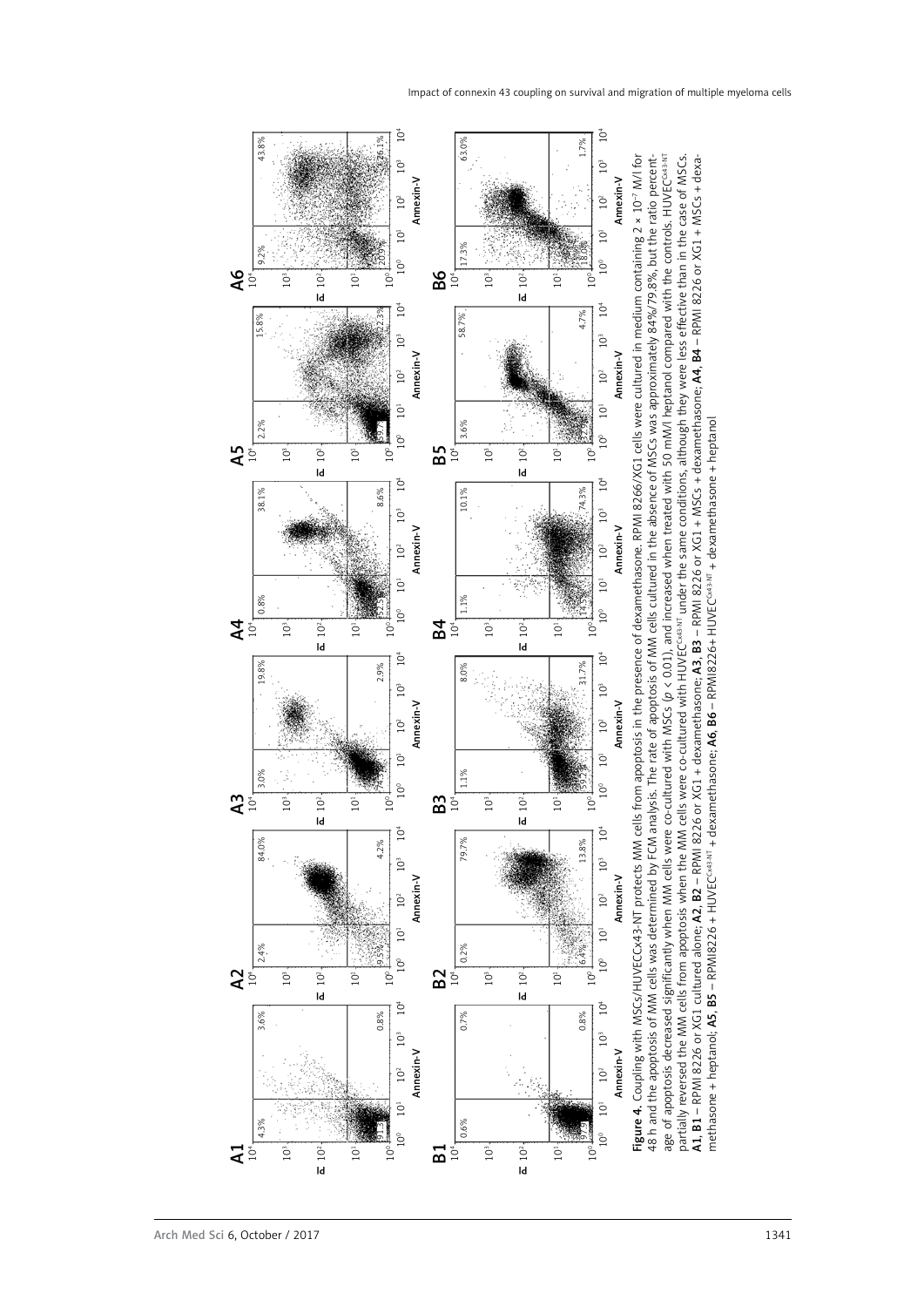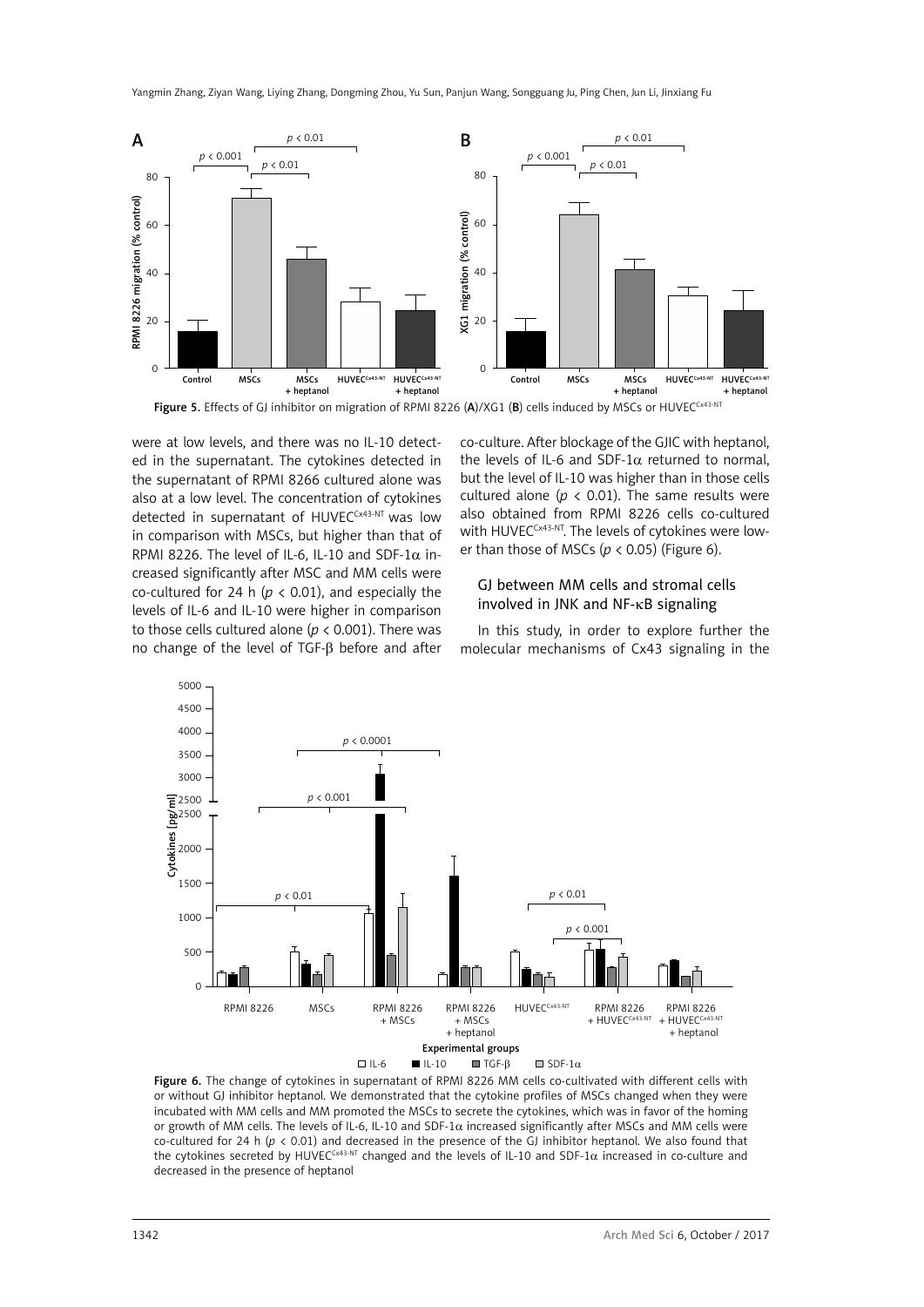

Figure 5. Effects of GJ inhibitor on migration of RPMI 8226 (A)/XG1 (B) cells induced by MSCs or HUVECCx43-NT

were at low levels, and there was no IL-10 detected in the supernatant. The cytokines detected in the supernatant of RPMI 8266 cultured alone was also at a low level. The concentration of cytokines detected in supernatant of HUVECCx43-NT was low in comparison with MSCs, but higher than that of RPMI 8226. The level of IL-6, IL-10 and SDF-1 $\alpha$  increased significantly after MSC and MM cells were co-cultured for 24 h ( $p < 0.01$ ), and especially the levels of IL-6 and IL-10 were higher in comparison to those cells cultured alone ( $p < 0.001$ ). There was no change of the level of TGF-β before and after

co-culture. After blockage of the GJIC with heptanol, the levels of IL-6 and SDF-1α returned to normal, but the level of IL-10 was higher than in those cells cultured alone ( $p < 0.01$ ). The same results were also obtained from RPMI 8226 cells co-cultured with HUVEC<sup>Cx43-NT</sup>. The levels of cytokines were lower than those of MSCs ( $p$  < 0.05) (Figure 6).

#### GJ between MM cells and stromal cells involved in JNK and NF-κB signaling

In this study, in order to explore further the molecular mechanisms of Cx43 signaling in the



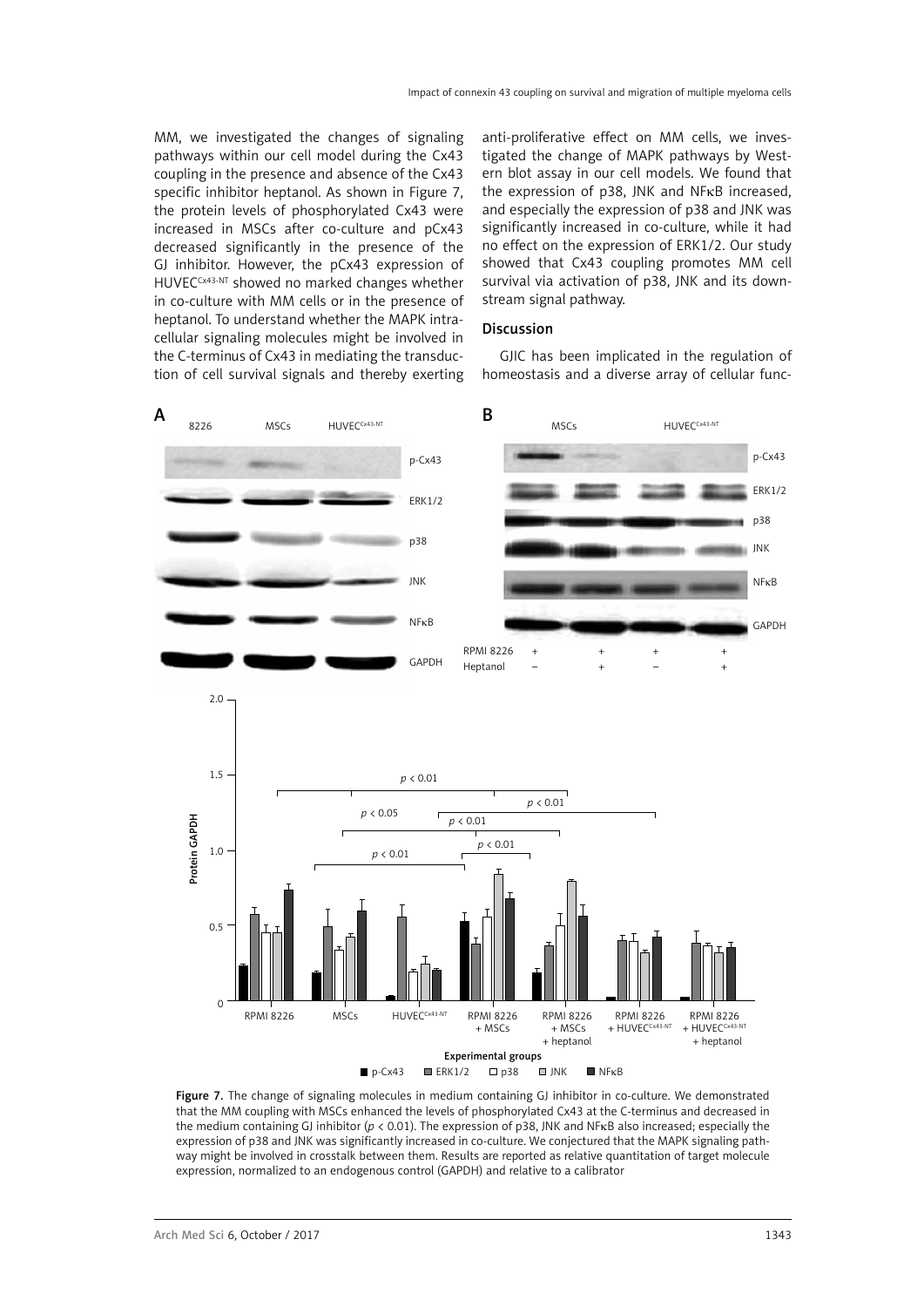MM, we investigated the changes of signaling pathways within our cell model during the Cx43 coupling in the presence and absence of the Cx43 specific inhibitor heptanol. As shown in Figure 7, the protein levels of phosphorylated Cx43 were increased in MSCs after co-culture and pCx43 decreased significantly in the presence of the GJ inhibitor. However, the pCx43 expression of HUVECCx43-NT showed no marked changes whether in co-culture with MM cells or in the presence of heptanol. To understand whether the MAPK intracellular signaling molecules might be involved in the C-terminus of Cx43 in mediating the transduction of cell survival signals and thereby exerting

anti-proliferative effect on MM cells, we investigated the change of MAPK pathways by Western blot assay in our cell models. We found that the expression of p38, JNK and NFκB increased, and especially the expression of p38 and JNK was significantly increased in co-culture, while it had no effect on the expression of ERK1/2. Our study showed that Cx43 coupling promotes MM cell survival via activation of p38, JNK and its downstream signal pathway.

## Discussion

GJIC has been implicated in the regulation of homeostasis and a diverse array of cellular func-



Figure 7. The change of signaling molecules in medium containing GJ inhibitor in co-culture. We demonstrated that the MM coupling with MSCs enhanced the levels of phosphorylated Cx43 at the C-terminus and decreased in the medium containing GJ inhibitor (*p* < 0.01). The expression of p38, JNK and NFκB also increased; especially the expression of p38 and JNK was significantly increased in co-culture. We conjectured that the MAPK signaling pathway might be involved in crosstalk between them. Results are reported as relative quantitation of target molecule expression, normalized to an endogenous control (GAPDH) and relative to a calibrator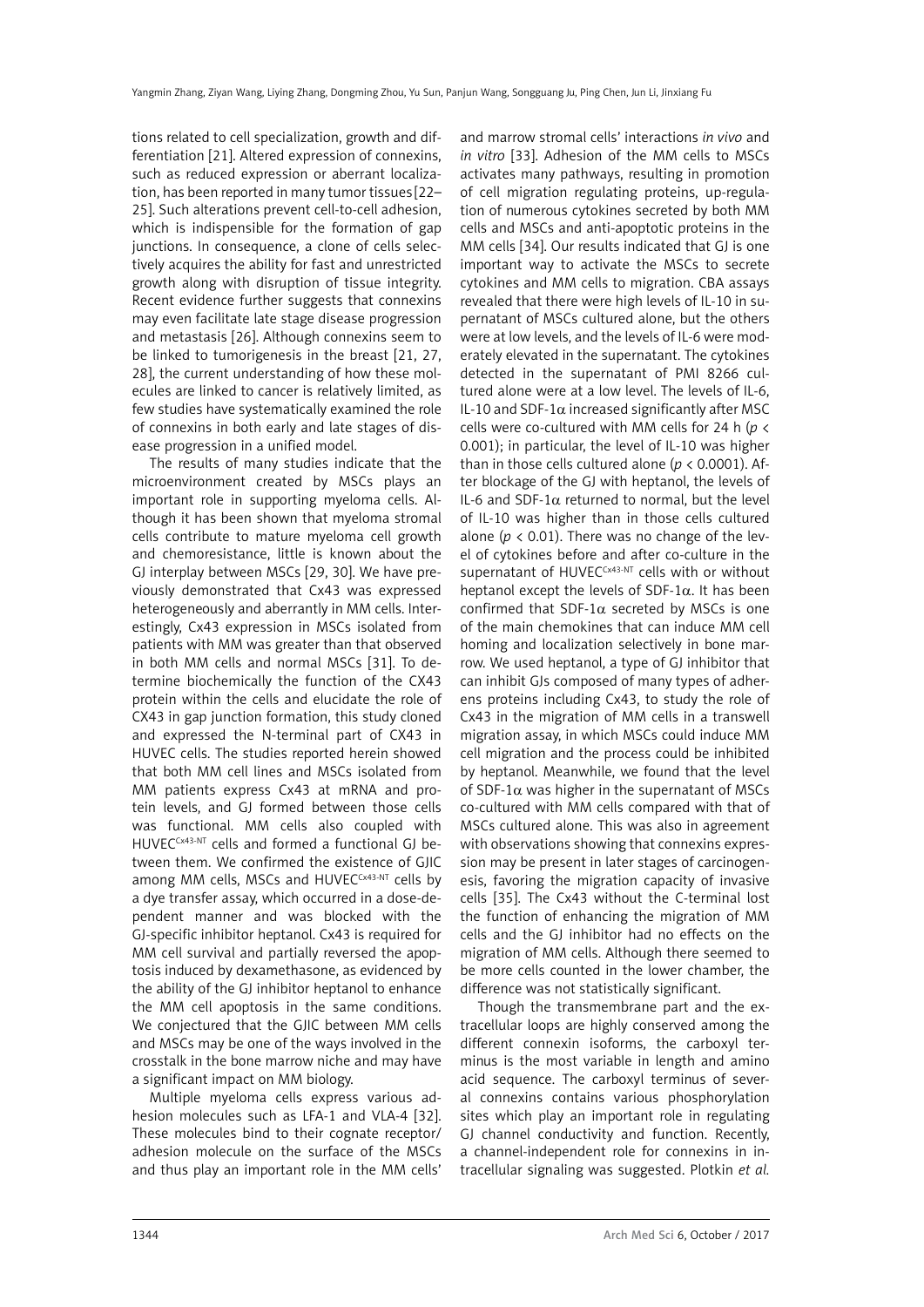tions related to cell specialization, growth and differentiation [21]. Altered expression of connexins, such as reduced expression or aberrant localization, has been reported in many tumor tissues [22– 25]. Such alterations prevent cell-to-cell adhesion, which is indispensible for the formation of gap junctions. In consequence, a clone of cells selectively acquires the ability for fast and unrestricted growth along with disruption of tissue integrity. Recent evidence further suggests that connexins may even facilitate late stage disease progression and metastasis [26]. Although connexins seem to be linked to tumorigenesis in the breast [21, 27, 28], the current understanding of how these molecules are linked to cancer is relatively limited, as few studies have systematically examined the role of connexins in both early and late stages of disease progression in a unified model.

The results of many studies indicate that the microenvironment created by MSCs plays an important role in supporting myeloma cells. Although it has been shown that myeloma stromal cells contribute to mature myeloma cell growth and chemoresistance, little is known about the GJ interplay between MSCs [29, 30]. We have previously demonstrated that Cx43 was expressed heterogeneously and aberrantly in MM cells. Interestingly, Cx43 expression in MSCs isolated from patients with MM was greater than that observed in both MM cells and normal MSCs [31]. To determine biochemically the function of the CX43 protein within the cells and elucidate the role of CX43 in gap junction formation, this study cloned and expressed the N-terminal part of CX43 in HUVEC cells. The studies reported herein showed that both MM cell lines and MSCs isolated from MM patients express Cx43 at mRNA and protein levels, and GJ formed between those cells was functional. MM cells also coupled with HUVECCx43-NT cells and formed a functional GJ between them. We confirmed the existence of GJIC among MM cells, MSCs and HUVECCX43-NT cells by a dye transfer assay, which occurred in a dose-dependent manner and was blocked with the GJ-specific inhibitor heptanol. Cx43 is required for MM cell survival and partially reversed the apoptosis induced by dexamethasone, as evidenced by the ability of the GJ inhibitor heptanol to enhance the MM cell apoptosis in the same conditions. We conjectured that the GJIC between MM cells and MSCs may be one of the ways involved in the crosstalk in the bone marrow niche and may have a significant impact on MM biology.

Multiple myeloma cells express various adhesion molecules such as LFA-1 and VLA-4 [32]. These molecules bind to their cognate receptor/ adhesion molecule on the surface of the MSCs and thus play an important role in the MM cells'

and marrow stromal cells' interactions *in vivo* and *in vitro* [33]. Adhesion of the MM cells to MSCs activates many pathways, resulting in promotion of cell migration regulating proteins, up-regulation of numerous cytokines secreted by both MM cells and MSCs and anti-apoptotic proteins in the MM cells [34]. Our results indicated that GJ is one important way to activate the MSCs to secrete cytokines and MM cells to migration. CBA assays revealed that there were high levels of IL-10 in supernatant of MSCs cultured alone, but the others were at low levels, and the levels of IL-6 were moderately elevated in the supernatant. The cytokines detected in the supernatant of PMI 8266 cultured alone were at a low level. The levels of IL-6, IL-10 and SDF-1 $\alpha$  increased significantly after MSC cells were co-cultured with MM cells for 24 h (*p* < 0.001); in particular, the level of IL-10 was higher than in those cells cultured alone (*p* < 0.0001). After blockage of the GJ with heptanol, the levels of IL-6 and SDF-1α returned to normal, but the level of IL-10 was higher than in those cells cultured alone ( $p < 0.01$ ). There was no change of the level of cytokines before and after co-culture in the supernatant of HUVEC<sup>CX43-NT</sup> cells with or without heptanol except the levels of SDF-1 $\alpha$ . It has been confirmed that SDF-1 $\alpha$  secreted by MSCs is one of the main chemokines that can induce MM cell homing and localization selectively in bone marrow. We used heptanol, a type of GJ inhibitor that can inhibit GJs composed of many types of adherens proteins including Cx43, to study the role of Cx43 in the migration of MM cells in a transwell migration assay, in which MSCs could induce MM cell migration and the process could be inhibited by heptanol. Meanwhile, we found that the level of SDF-1 $\alpha$  was higher in the supernatant of MSCs co-cultured with MM cells compared with that of MSCs cultured alone. This was also in agreement with observations showing that connexins expression may be present in later stages of carcinogenesis, favoring the migration capacity of invasive cells [35]. The Cx43 without the C-terminal lost the function of enhancing the migration of MM cells and the GJ inhibitor had no effects on the migration of MM cells. Although there seemed to be more cells counted in the lower chamber, the difference was not statistically significant.

Though the transmembrane part and the extracellular loops are highly conserved among the different connexin isoforms, the carboxyl terminus is the most variable in length and amino acid sequence. The carboxyl terminus of several connexins contains various phosphorylation sites which play an important role in regulating GJ channel conductivity and function. Recently, a channel-independent role for connexins in intracellular signaling was suggested. Plotkin *et al.*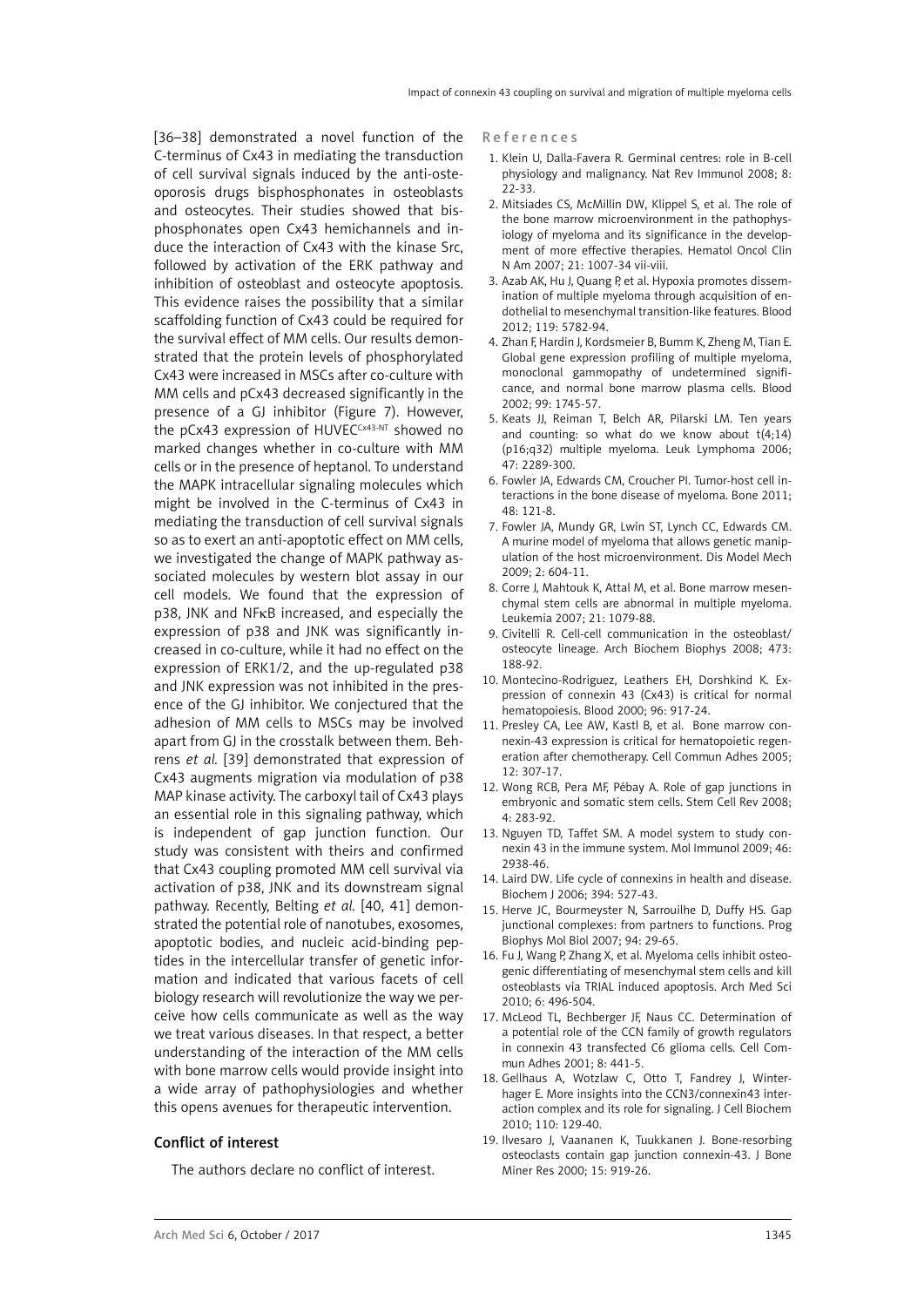[36–38] demonstrated a novel function of the C-terminus of Cx43 in mediating the transduction of cell survival signals induced by the anti-osteoporosis drugs bisphosphonates in osteoblasts and osteocytes. Their studies showed that bisphosphonates open Cx43 hemichannels and induce the interaction of Cx43 with the kinase Src, followed by activation of the ERK pathway and inhibition of osteoblast and osteocyte apoptosis. This evidence raises the possibility that a similar scaffolding function of Cx43 could be required for the survival effect of MM cells. Our results demonstrated that the protein levels of phosphorylated Cx43 were increased in MSCs after co-culture with MM cells and pCx43 decreased significantly in the presence of a GJ inhibitor (Figure 7). However, the pCx43 expression of HUVECCx43-NT showed no marked changes whether in co-culture with MM cells or in the presence of heptanol. To understand the MAPK intracellular signaling molecules which might be involved in the C-terminus of Cx43 in mediating the transduction of cell survival signals so as to exert an anti-apoptotic effect on MM cells, we investigated the change of MAPK pathway associated molecules by western blot assay in our cell models. We found that the expression of p38, JNK and NFκB increased, and especially the expression of p38 and JNK was significantly increased in co-culture, while it had no effect on the expression of ERK1/2, and the up-regulated p38 and JNK expression was not inhibited in the presence of the GJ inhibitor. We conjectured that the adhesion of MM cells to MSCs may be involved apart from GJ in the crosstalk between them. Behrens *et al.* [39] demonstrated that expression of Cx43 augments migration via modulation of p38 MAP kinase activity. The carboxyl tail of Cx43 plays an essential role in this signaling pathway, which is independent of gap junction function. Our study was consistent with theirs and confirmed that Cx43 coupling promoted MM cell survival via activation of p38, JNK and its downstream signal pathway. Recently, Belting *et al.* [40, 41] demonstrated the potential role of nanotubes, exosomes, apoptotic bodies, and nucleic acid-binding peptides in the intercellular transfer of genetic information and indicated that various facets of cell biology research will revolutionize the way we perceive how cells communicate as well as the way we treat various diseases. In that respect, a better understanding of the interaction of the MM cells with bone marrow cells would provide insight into a wide array of pathophysiologies and whether this opens avenues for therapeutic intervention.

#### Conflict of interest

The authors declare no conflict of interest.

#### R e f e r e n c e s

- 1. Klein U, Dalla-Favera R. Germinal centres: role in B-cell physiology and malignancy. Nat Rev Immunol 2008; 8: 22-33.
- 2. Mitsiades CS, McMillin DW, Klippel S, et al. The role of the bone marrow microenvironment in the pathophysiology of myeloma and its significance in the development of more effective therapies. Hematol Oncol Clin N Am 2007; 21: 1007-34 vii-viii.
- 3. Azab AK, Hu J, Quang P, et al. Hypoxia promotes dissemination of multiple myeloma through acquisition of endothelial to mesenchymal transition-like features. Blood 2012; 119: 5782-94.
- 4. Zhan F, Hardin J, Kordsmeier B, Bumm K, Zheng M, Tian E. Global gene expression profiling of multiple myeloma, monoclonal gammopathy of undetermined significance, and normal bone marrow plasma cells. Blood 2002; 99: 1745-57.
- 5. Keats JJ, Reiman T, Belch AR, Pilarski LM. Ten years and counting: so what do we know about  $t(4;14)$ (p16;q32) multiple myeloma. Leuk Lymphoma 2006; 47: 2289-300.
- 6. Fowler JA, Edwards CM, Croucher PI. Tumor-host cell interactions in the bone disease of myeloma. Bone 2011; 48: 121-8.
- 7. Fowler JA, Mundy GR, Lwin ST, Lynch CC, Edwards CM. A murine model of myeloma that allows genetic manipulation of the host microenvironment. Dis Model Mech 2009; 2: 604-11.
- 8. Corre J, Mahtouk K, Attal M, et al. Bone marrow mesenchymal stem cells are abnormal in multiple myeloma. Leukemia 2007; 21: 1079-88.
- 9. Civitelli R. [Cell-cell communication in the osteoblast/](http://www.yz365.com/MedCH/Archive/18424255) [osteocyte lineage.](http://www.yz365.com/MedCH/Archive/18424255) [Arch Biochem Biophys](http://www.yz365.com/Journal/Detail/62fa56ba-c13f-47fa-8784-9e167fb84571) 2008; 473: 188-92.
- 10. Montecino-Rodriguez, Leathers EH, Dorshkind K. Expression of connexin 43 (Cx43) is critical for normal hematopoiesis. Blood 2000; 96: 917-24.
- 11. Presley CA, Lee AW, Kastl B, et al. [Bone marrow con](http://www.yz365.com/MedCH/Archive/16531325)[nexin-43 expression is critical for hematopoietic regen](http://www.yz365.com/MedCH/Archive/16531325)[eration after chemotherapy.](http://www.yz365.com/MedCH/Archive/16531325) [Cell Commun Adhes](http://www.yz365.com/Journal/Detail/a8a5d330-4606-439f-a6e5-123015a79c2c) 2005; 12: 307-17.
- 12. Wong RCB, Pera MF, [Pébay](http://www.yz365.com/Affiliation/Search?lastName=P%C3%A9bay&firstName=Alice) A. Role of gap junctions in embryonic and somatic stem cells. Stem Cell Rev 2008; 4: 283-92.
- 13. Nguyen TD, Taffet SM. A model system to study connexin 43 in the immune system. Mol Immunol 2009; 46: 2938-46.
- 14. Laird DW. Life cycle of connexins in health and disease. Biochem J 2006; 394: 527-43.
- 15. Herve JC, Bourmeyster N, Sarrouilhe D, [Duffy HS.](http://www.yz365.com/Affiliation/Search?lastName=Duffy&firstName=HeatherS) Gap junctional complexes: from partners to functions. Prog Biophys Mol Biol 2007; 94: 29-65.
- 16. Fu J, Wang P, Zhang X, et al. Myeloma cells inhibit osteogenic differentiating of mesenchymal stem cells and kill osteoblasts via TRIAL induced apoptosis. Arch Med Sci 2010; 6: 496-504.
- 17. McLeod TL, Bechberger JF, Naus CC. Determination of a potential role of the CCN family of growth regulators in connexin 43 transfected C6 glioma cells. Cell Commun Adhes 2001; 8: 441-5.
- 18. Gellhaus A, Wotzlaw C, Otto T, Fandrey J, Winterhager E. More insights into the CCN3/connexin43 interaction complex and its role for signaling. J Cell Biochem 2010; 110: 129-40.
- 19. Ilvesaro J, Vaananen K, Tuukkanen J. Bone-resorbing osteoclasts contain gap junction connexin-43. J Bone Miner Res 2000; 15: 919-26.